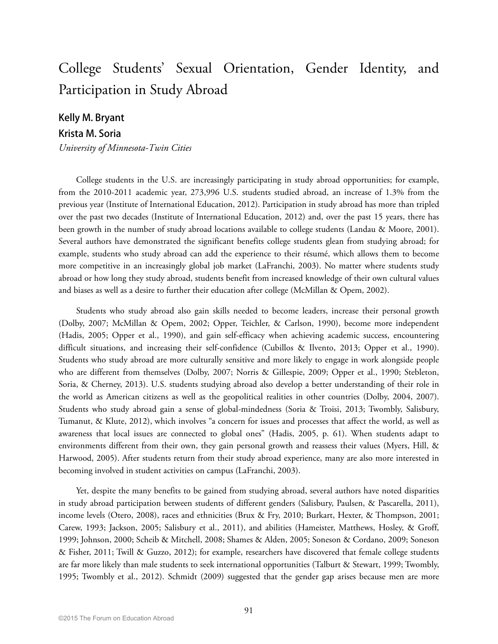# College Students' Sexual Orientation, Gender Identity, and Participation in Study Abroad

### **Kelly M. Bryant**

### **Krista M. Soria**

*University of Minnesota-Twin Cities* 

College students in the U.S. are increasingly participating in study abroad opportunities; for example, from the 2010-2011 academic year, 273,996 U.S. students studied abroad, an increase of 1.3% from the previous year (Institute of International Education, 2012). Participation in study abroad has more than tripled over the past two decades (Institute of International Education, 2012) and, over the past 15 years, there has been growth in the number of study abroad locations available to college students (Landau & Moore, 2001). Several authors have demonstrated the significant benefits college students glean from studying abroad; for example, students who study abroad can add the experience to their résumé, which allows them to become more competitive in an increasingly global job market (LaFranchi, 2003). No matter where students study abroad or how long they study abroad, students benefit from increased knowledge of their own cultural values and biases as well as a desire to further their education after college (McMillan & Opem, 2002).

Students who study abroad also gain skills needed to become leaders, increase their personal growth (Dolby, 2007; McMillan & Opem, 2002; Opper, Teichler, & Carlson, 1990), become more independent (Hadis, 2005; Opper et al., 1990), and gain self-efficacy when achieving academic success, encountering difficult situations, and increasing their self-confidence (Cubillos & Ilvento, 2013; Opper et al., 1990). Students who study abroad are more culturally sensitive and more likely to engage in work alongside people who are different from themselves (Dolby, 2007; Norris & Gillespie, 2009; Opper et al., 1990; Stebleton, Soria, & Cherney, 2013). U.S. students studying abroad also develop a better understanding of their role in the world as American citizens as well as the geopolitical realities in other countries (Dolby, 2004, 2007). Students who study abroad gain a sense of global-mindedness (Soria & Troisi, 2013; Twombly, Salisbury, Tumanut, & Klute, 2012), which involves "a concern for issues and processes that affect the world, as well as awareness that local issues are connected to global ones" (Hadis, 2005, p. 61). When students adapt to environments different from their own, they gain personal growth and reassess their values (Myers, Hill, & Harwood, 2005). After students return from their study abroad experience, many are also more interested in becoming involved in student activities on campus (LaFranchi, 2003).

Yet, despite the many benefits to be gained from studying abroad, several authors have noted disparities in study abroad participation between students of different genders (Salisbury, Paulsen, & Pascarella, 2011), income levels (Otero, 2008), races and ethnicities (Brux & Fry, 2010; Burkart, Hexter, & Thompson, 2001; Carew, 1993; Jackson, 2005; Salisbury et al., 2011), and abilities (Hameister, Matthews, Hosley, & Groff, 1999; Johnson, 2000; Scheib & Mitchell, 2008; Shames & Alden, 2005; Soneson & Cordano, 2009; Soneson & Fisher, 2011; Twill & Guzzo, 2012); for example, researchers have discovered that female college students are far more likely than male students to seek international opportunities (Talburt & Stewart, 1999; Twombly, 1995; Twombly et al., 2012). Schmidt (2009) suggested that the gender gap arises because men are more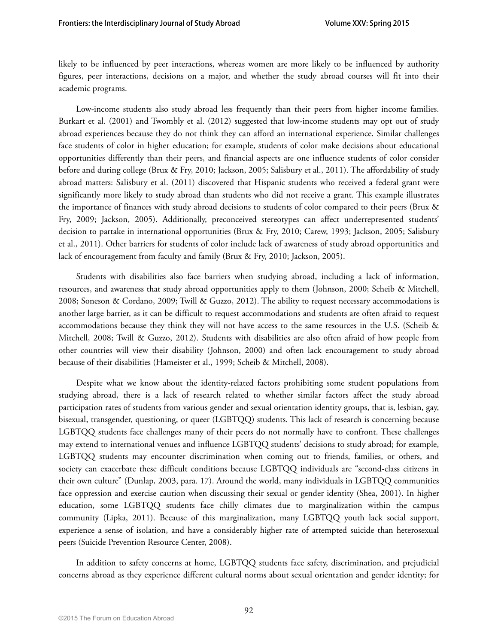likely to be influenced by peer interactions, whereas women are more likely to be influenced by authority figures, peer interactions, decisions on a major, and whether the study abroad courses will fit into their academic programs.

Low-income students also study abroad less frequently than their peers from higher income families. Burkart et al. (2001) and Twombly et al. (2012) suggested that low-income students may opt out of study abroad experiences because they do not think they can afford an international experience. Similar challenges face students of color in higher education; for example, students of color make decisions about educational opportunities differently than their peers, and financial aspects are one influence students of color consider before and during college (Brux & Fry, 2010; Jackson, 2005; Salisbury et al., 2011). The affordability of study abroad matters: Salisbury et al. (2011) discovered that Hispanic students who received a federal grant were significantly more likely to study abroad than students who did not receive a grant. This example illustrates the importance of finances with study abroad decisions to students of color compared to their peers (Brux & Fry, 2009; Jackson, 2005). Additionally, preconceived stereotypes can affect underrepresented students' decision to partake in international opportunities (Brux & Fry, 2010; Carew, 1993; Jackson, 2005; Salisbury et al., 2011). Other barriers for students of color include lack of awareness of study abroad opportunities and lack of encouragement from faculty and family (Brux & Fry, 2010; Jackson, 2005).

Students with disabilities also face barriers when studying abroad, including a lack of information, resources, and awareness that study abroad opportunities apply to them (Johnson, 2000; Scheib & Mitchell, 2008; Soneson & Cordano, 2009; Twill & Guzzo, 2012). The ability to request necessary accommodations is another large barrier, as it can be difficult to request accommodations and students are often afraid to request accommodations because they think they will not have access to the same resources in the U.S. (Scheib & Mitchell, 2008; Twill & Guzzo, 2012). Students with disabilities are also often afraid of how people from other countries will view their disability (Johnson, 2000) and often lack encouragement to study abroad because of their disabilities (Hameister et al., 1999; Scheib & Mitchell, 2008).

Despite what we know about the identity-related factors prohibiting some student populations from studying abroad, there is a lack of research related to whether similar factors affect the study abroad participation rates of students from various gender and sexual orientation identity groups, that is, lesbian, gay, bisexual, transgender, questioning, or queer (LGBTQQ) students. This lack of research is concerning because LGBTQQ students face challenges many of their peers do not normally have to confront. These challenges may extend to international venues and influence LGBTQQ students' decisions to study abroad; for example, LGBTQQ students may encounter discrimination when coming out to friends, families, or others, and society can exacerbate these difficult conditions because LGBTQQ individuals are "second-class citizens in their own culture" (Dunlap, 2003, para. 17). Around the world, many individuals in LGBTQQ communities face oppression and exercise caution when discussing their sexual or gender identity (Shea, 2001). In higher education, some LGBTQQ students face chilly climates due to marginalization within the campus community (Lipka, 2011). Because of this marginalization, many LGBTQQ youth lack social support, experience a sense of isolation, and have a considerably higher rate of attempted suicide than heterosexual peers (Suicide Prevention Resource Center, 2008).

In addition to safety concerns at home, LGBTQQ students face safety, discrimination, and prejudicial concerns abroad as they experience different cultural norms about sexual orientation and gender identity; for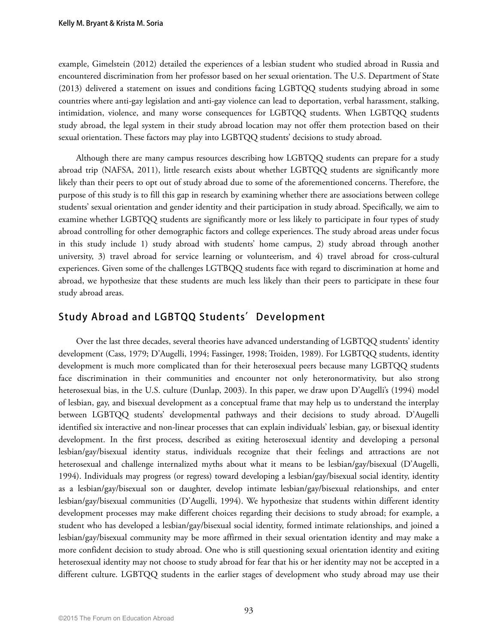example, Gimelstein (2012) detailed the experiences of a lesbian student who studied abroad in Russia and encountered discrimination from her professor based on her sexual orientation. The U.S. Department of State (2013) delivered a statement on issues and conditions facing LGBTQQ students studying abroad in some countries where anti-gay legislation and anti-gay violence can lead to deportation, verbal harassment, stalking, intimidation, violence, and many worse consequences for LGBTQQ students. When LGBTQQ students study abroad, the legal system in their study abroad location may not offer them protection based on their sexual orientation. These factors may play into LGBTQQ students' decisions to study abroad.

Although there are many campus resources describing how LGBTQQ students can prepare for a study abroad trip (NAFSA, 2011), little research exists about whether LGBTQQ students are significantly more likely than their peers to opt out of study abroad due to some of the aforementioned concerns. Therefore, the purpose of this study is to fill this gap in research by examining whether there are associations between college students' sexual orientation and gender identity and their participation in study abroad. Specifically, we aim to examine whether LGBTQQ students are significantly more or less likely to participate in four types of study abroad controlling for other demographic factors and college experiences. The study abroad areas under focus in this study include 1) study abroad with students' home campus, 2) study abroad through another university, 3) travel abroad for service learning or volunteerism, and 4) travel abroad for cross-cultural experiences. Given some of the challenges LGTBQQ students face with regard to discrimination at home and abroad, we hypothesize that these students are much less likely than their peers to participate in these four study abroad areas.

### **Study Abroad and LGBTQQ Students'Development**

Over the last three decades, several theories have advanced understanding of LGBTQQ students' identity development (Cass, 1979; D'Augelli, 1994; Fassinger, 1998; Troiden, 1989). For LGBTQQ students, identity development is much more complicated than for their heterosexual peers because many LGBTQQ students face discrimination in their communities and encounter not only heteronormativity, but also strong heterosexual bias, in the U.S. culture (Dunlap, 2003). In this paper, we draw upon D'Augelli's (1994) model of lesbian, gay, and bisexual development as a conceptual frame that may help us to understand the interplay between LGBTQQ students' developmental pathways and their decisions to study abroad. D'Augelli identified six interactive and non-linear processes that can explain individuals' lesbian, gay, or bisexual identity development. In the first process, described as exiting heterosexual identity and developing a personal lesbian/gay/bisexual identity status, individuals recognize that their feelings and attractions are not heterosexual and challenge internalized myths about what it means to be lesbian/gay/bisexual (D'Augelli, 1994). Individuals may progress (or regress) toward developing a lesbian/gay/bisexual social identity, identity as a lesbian/gay/bisexual son or daughter, develop intimate lesbian/gay/bisexual relationships, and enter lesbian/gay/bisexual communities (D'Augelli, 1994). We hypothesize that students within different identity development processes may make different choices regarding their decisions to study abroad; for example, a student who has developed a lesbian/gay/bisexual social identity, formed intimate relationships, and joined a lesbian/gay/bisexual community may be more affirmed in their sexual orientation identity and may make a more confident decision to study abroad. One who is still questioning sexual orientation identity and exiting heterosexual identity may not choose to study abroad for fear that his or her identity may not be accepted in a different culture. LGBTQQ students in the earlier stages of development who study abroad may use their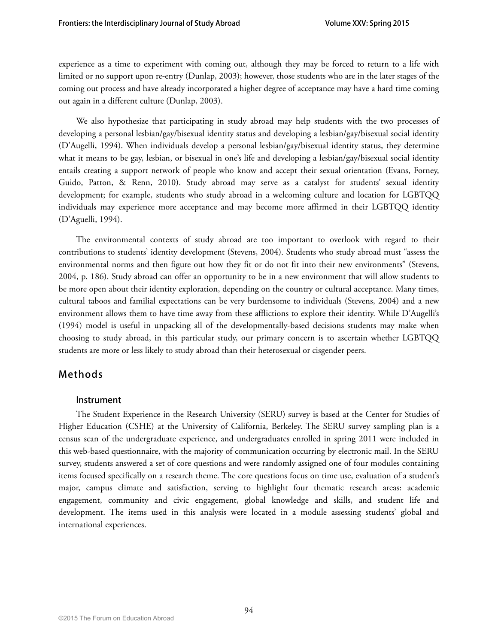experience as a time to experiment with coming out, although they may be forced to return to a life with limited or no support upon re-entry (Dunlap, 2003); however, those students who are in the later stages of the coming out process and have already incorporated a higher degree of acceptance may have a hard time coming out again in a different culture (Dunlap, 2003).

We also hypothesize that participating in study abroad may help students with the two processes of developing a personal lesbian/gay/bisexual identity status and developing a lesbian/gay/bisexual social identity (D'Augelli, 1994). When individuals develop a personal lesbian/gay/bisexual identity status, they determine what it means to be gay, lesbian, or bisexual in one's life and developing a lesbian/gay/bisexual social identity entails creating a support network of people who know and accept their sexual orientation (Evans, Forney, Guido, Patton, & Renn, 2010). Study abroad may serve as a catalyst for students' sexual identity development; for example, students who study abroad in a welcoming culture and location for LGBTQQ individuals may experience more acceptance and may become more affirmed in their LGBTQQ identity (D'Aguelli, 1994).

The environmental contexts of study abroad are too important to overlook with regard to their contributions to students' identity development (Stevens, 2004). Students who study abroad must "assess the environmental norms and then figure out how they fit or do not fit into their new environments" (Stevens, 2004, p. 186). Study abroad can offer an opportunity to be in a new environment that will allow students to be more open about their identity exploration, depending on the country or cultural acceptance. Many times, cultural taboos and familial expectations can be very burdensome to individuals (Stevens, 2004) and a new environment allows them to have time away from these afflictions to explore their identity. While D'Augelli's (1994) model is useful in unpacking all of the developmentally-based decisions students may make when choosing to study abroad, in this particular study, our primary concern is to ascertain whether LGBTQQ students are more or less likely to study abroad than their heterosexual or cisgender peers.

### **Methods**

### **Instrument**

The Student Experience in the Research University (SERU) survey is based at the Center for Studies of Higher Education (CSHE) at the University of California, Berkeley. The SERU survey sampling plan is a census scan of the undergraduate experience, and undergraduates enrolled in spring 2011 were included in this web-based questionnaire, with the majority of communication occurring by electronic mail. In the SERU survey, students answered a set of core questions and were randomly assigned one of four modules containing items focused specifically on a research theme. The core questions focus on time use, evaluation of a student's major, campus climate and satisfaction, serving to highlight four thematic research areas: academic engagement, community and civic engagement, global knowledge and skills, and student life and development. The items used in this analysis were located in a module assessing students' global and international experiences.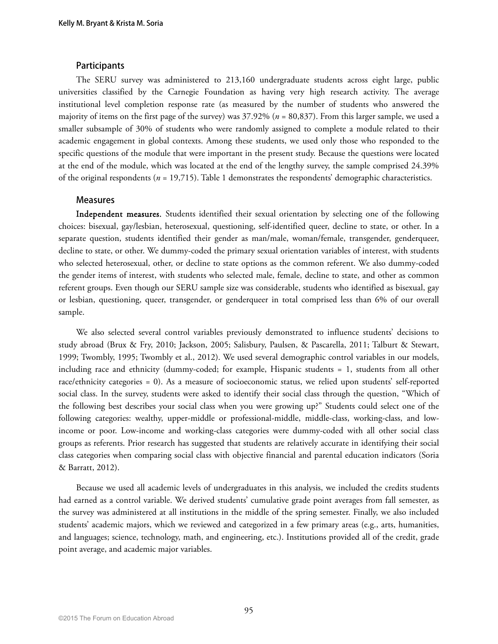#### **Participants**

The SERU survey was administered to 213,160 undergraduate students across eight large, public universities classified by the Carnegie Foundation as having very high research activity. The average institutional level completion response rate (as measured by the number of students who answered the majority of items on the first page of the survey) was 37.92% (*n* = 80,837). From this larger sample, we used a smaller subsample of 30% of students who were randomly assigned to complete a module related to their academic engagement in global contexts. Among these students, we used only those who responded to the specific questions of the module that were important in the present study. Because the questions were located at the end of the module, which was located at the end of the lengthy survey, the sample comprised 24.39% of the original respondents (*n* = 19,715). Table 1 demonstrates the respondents' demographic characteristics.

#### **Measures**

Independent measures.Students identified their sexual orientation by selecting one of the following choices: bisexual, gay/lesbian, heterosexual, questioning, self-identified queer, decline to state, or other. In a separate question, students identified their gender as man/male, woman/female, transgender, genderqueer, decline to state, or other. We dummy-coded the primary sexual orientation variables of interest, with students who selected heterosexual, other, or decline to state options as the common referent. We also dummy-coded the gender items of interest, with students who selected male, female, decline to state, and other as common referent groups. Even though our SERU sample size was considerable, students who identified as bisexual, gay or lesbian, questioning, queer, transgender, or genderqueer in total comprised less than 6% of our overall sample.

We also selected several control variables previously demonstrated to influence students' decisions to study abroad (Brux & Fry, 2010; Jackson, 2005; Salisbury, Paulsen, & Pascarella, 2011; Talburt & Stewart, 1999; Twombly, 1995; Twombly et al., 2012). We used several demographic control variables in our models, including race and ethnicity (dummy-coded; for example, Hispanic students = 1, students from all other race/ethnicity categories = 0). As a measure of socioeconomic status, we relied upon students' self-reported social class. In the survey, students were asked to identify their social class through the question, "Which of the following best describes your social class when you were growing up?" Students could select one of the following categories: wealthy, upper-middle or professional-middle, middle-class, working-class, and lowincome or poor. Low-income and working-class categories were dummy-coded with all other social class groups as referents. Prior research has suggested that students are relatively accurate in identifying their social class categories when comparing social class with objective financial and parental education indicators (Soria & Barratt, 2012).

Because we used all academic levels of undergraduates in this analysis, we included the credits students had earned as a control variable. We derived students' cumulative grade point averages from fall semester, as the survey was administered at all institutions in the middle of the spring semester. Finally, we also included students' academic majors, which we reviewed and categorized in a few primary areas (e.g., arts, humanities, and languages; science, technology, math, and engineering, etc.). Institutions provided all of the credit, grade point average, and academic major variables.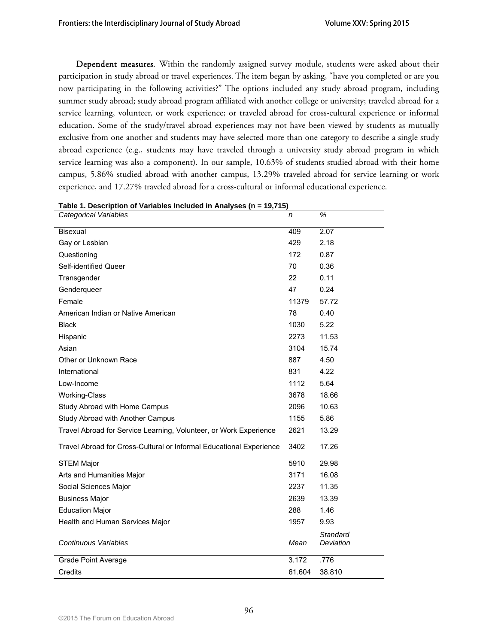Dependent measures*.* Within the randomly assigned survey module, students were asked about their participation in study abroad or travel experiences. The item began by asking, "have you completed or are you now participating in the following activities?" The options included any study abroad program, including summer study abroad; study abroad program affiliated with another college or university; traveled abroad for a service learning, volunteer, or work experience; or traveled abroad for cross-cultural experience or informal education. Some of the study/travel abroad experiences may not have been viewed by students as mutually exclusive from one another and students may have selected more than one category to describe a single study abroad experience (e.g., students may have traveled through a university study abroad program in which service learning was also a component). In our sample, 10.63% of students studied abroad with their home campus, 5.86% studied abroad with another campus, 13.29% traveled abroad for service learning or work experience, and 17.27% traveled abroad for a cross-cultural or informal educational experience.

| Table 1. Description or variables included in Analyses (n = $19,715$ )<br>Categorical Variables | n      | %                     |
|-------------------------------------------------------------------------------------------------|--------|-----------------------|
|                                                                                                 |        |                       |
| <b>Bisexual</b>                                                                                 | 409    | 2.07                  |
| Gay or Lesbian                                                                                  | 429    | 2.18                  |
| Questioning                                                                                     | 172    | 0.87                  |
| Self-identified Queer                                                                           | 70     | 0.36                  |
| Transgender                                                                                     | 22     | 0.11                  |
| Genderqueer                                                                                     | 47     | 0.24                  |
| Female                                                                                          | 11379  | 57.72                 |
| American Indian or Native American                                                              | 78     | 0.40                  |
| <b>Black</b>                                                                                    | 1030   | 5.22                  |
| Hispanic                                                                                        | 2273   | 11.53                 |
| Asian                                                                                           | 3104   | 15.74                 |
| Other or Unknown Race                                                                           | 887    | 4.50                  |
| International                                                                                   | 831    | 4.22                  |
| Low-Income                                                                                      | 1112   | 5.64                  |
| <b>Working-Class</b>                                                                            | 3678   | 18.66                 |
| Study Abroad with Home Campus                                                                   | 2096   | 10.63                 |
| Study Abroad with Another Campus                                                                | 1155   | 5.86                  |
| Travel Abroad for Service Learning, Volunteer, or Work Experience                               | 2621   | 13.29                 |
| Travel Abroad for Cross-Cultural or Informal Educational Experience                             | 3402   | 17.26                 |
| <b>STEM Major</b>                                                                               | 5910   | 29.98                 |
| Arts and Humanities Major                                                                       | 3171   | 16.08                 |
| Social Sciences Major                                                                           | 2237   | 11.35                 |
| <b>Business Major</b>                                                                           | 2639   | 13.39                 |
| <b>Education Major</b>                                                                          | 288    | 1.46                  |
| Health and Human Services Major                                                                 | 1957   | 9.93                  |
| Continuous Variables                                                                            | Mean   | Standard<br>Deviation |
| <b>Grade Point Average</b>                                                                      | 3.172  | .776                  |
| Credits                                                                                         | 61.604 | 38.810                |

### **Table 1. Description of Variables Included in Analyses (n = 19,715)**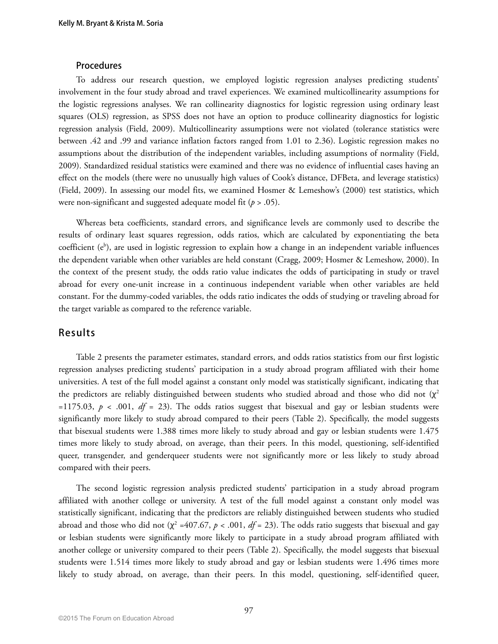#### **Procedures**

To address our research question, we employed logistic regression analyses predicting students' involvement in the four study abroad and travel experiences. We examined multicollinearity assumptions for the logistic regressions analyses. We ran collinearity diagnostics for logistic regression using ordinary least squares (OLS) regression, as SPSS does not have an option to produce collinearity diagnostics for logistic regression analysis (Field, 2009). Multicollinearity assumptions were not violated (tolerance statistics were between .42 and .99 and variance inflation factors ranged from 1.01 to 2.36). Logistic regression makes no assumptions about the distribution of the independent variables, including assumptions of normality (Field, 2009). Standardized residual statistics were examined and there was no evidence of influential cases having an effect on the models (there were no unusually high values of Cook's distance, DFBeta, and leverage statistics) (Field, 2009). In assessing our model fits, we examined Hosmer & Lemeshow's (2000) test statistics, which were non-significant and suggested adequate model fit (*p* > .05).

Whereas beta coefficients, standard errors, and significance levels are commonly used to describe the results of ordinary least squares regression, odds ratios, which are calculated by exponentiating the beta coefficient (e<sup>b</sup>), are used in logistic regression to explain how a change in an independent variable influences the dependent variable when other variables are held constant (Cragg, 2009; Hosmer & Lemeshow, 2000). In the context of the present study, the odds ratio value indicates the odds of participating in study or travel abroad for every one-unit increase in a continuous independent variable when other variables are held constant. For the dummy-coded variables, the odds ratio indicates the odds of studying or traveling abroad for the target variable as compared to the reference variable.

### **Results**

Table 2 presents the parameter estimates, standard errors, and odds ratios statistics from our first logistic regression analyses predicting students' participation in a study abroad program affiliated with their home universities. A test of the full model against a constant only model was statistically significant, indicating that the predictors are reliably distinguished between students who studied abroad and those who did not  $(\chi^2)$ =1175.03,  $p$  < .001,  $df = 23$ ). The odds ratios suggest that bisexual and gay or lesbian students were significantly more likely to study abroad compared to their peers (Table 2). Specifically, the model suggests that bisexual students were 1.388 times more likely to study abroad and gay or lesbian students were 1.475 times more likely to study abroad, on average, than their peers. In this model, questioning, self-identified queer, transgender, and genderqueer students were not significantly more or less likely to study abroad compared with their peers.

The second logistic regression analysis predicted students' participation in a study abroad program affiliated with another college or university. A test of the full model against a constant only model was statistically significant, indicating that the predictors are reliably distinguished between students who studied abroad and those who did not  $(\chi^2 = 407.67, p < .001, df = 23)$ . The odds ratio suggests that bisexual and gay or lesbian students were significantly more likely to participate in a study abroad program affiliated with another college or university compared to their peers (Table 2). Specifically, the model suggests that bisexual students were 1.514 times more likely to study abroad and gay or lesbian students were 1.496 times more likely to study abroad, on average, than their peers. In this model, questioning, self-identified queer,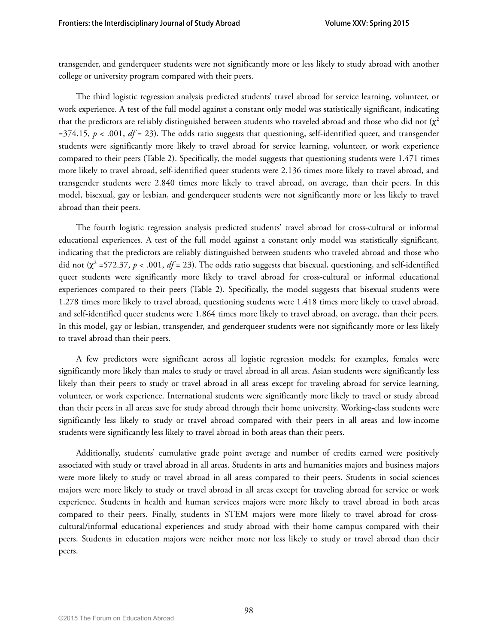transgender, and genderqueer students were not significantly more or less likely to study abroad with another college or university program compared with their peers.

The third logistic regression analysis predicted students' travel abroad for service learning, volunteer, or work experience. A test of the full model against a constant only model was statistically significant, indicating that the predictors are reliably distinguished between students who traveled abroad and those who did not  $(\chi^2)$  $=374.15$ ,  $p < .001$ ,  $df = 23$ ). The odds ratio suggests that questioning, self-identified queer, and transgender students were significantly more likely to travel abroad for service learning, volunteer, or work experience compared to their peers (Table 2). Specifically, the model suggests that questioning students were 1.471 times more likely to travel abroad, self-identified queer students were 2.136 times more likely to travel abroad, and transgender students were 2.840 times more likely to travel abroad, on average, than their peers. In this model, bisexual, gay or lesbian, and genderqueer students were not significantly more or less likely to travel abroad than their peers.

The fourth logistic regression analysis predicted students' travel abroad for cross-cultural or informal educational experiences. A test of the full model against a constant only model was statistically significant, indicating that the predictors are reliably distinguished between students who traveled abroad and those who did not  $(\chi^2$  =572.37,  $p < .001$ , *df* = 23). The odds ratio suggests that bisexual, questioning, and self-identified queer students were significantly more likely to travel abroad for cross-cultural or informal educational experiences compared to their peers (Table 2). Specifically, the model suggests that bisexual students were 1.278 times more likely to travel abroad, questioning students were 1.418 times more likely to travel abroad, and self-identified queer students were 1.864 times more likely to travel abroad, on average, than their peers. In this model, gay or lesbian, transgender, and genderqueer students were not significantly more or less likely to travel abroad than their peers.

A few predictors were significant across all logistic regression models; for examples, females were significantly more likely than males to study or travel abroad in all areas. Asian students were significantly less likely than their peers to study or travel abroad in all areas except for traveling abroad for service learning, volunteer, or work experience. International students were significantly more likely to travel or study abroad than their peers in all areas save for study abroad through their home university. Working-class students were significantly less likely to study or travel abroad compared with their peers in all areas and low-income students were significantly less likely to travel abroad in both areas than their peers.

Additionally, students' cumulative grade point average and number of credits earned were positively associated with study or travel abroad in all areas. Students in arts and humanities majors and business majors were more likely to study or travel abroad in all areas compared to their peers. Students in social sciences majors were more likely to study or travel abroad in all areas except for traveling abroad for service or work experience. Students in health and human services majors were more likely to travel abroad in both areas compared to their peers. Finally, students in STEM majors were more likely to travel abroad for crosscultural/informal educational experiences and study abroad with their home campus compared with their peers. Students in education majors were neither more nor less likely to study or travel abroad than their peers.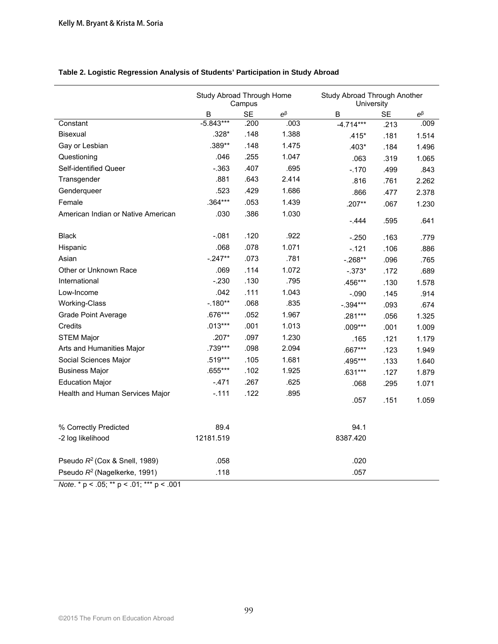|                                           | Study Abroad Through Home<br>Campus |           |             | Study Abroad Through Another<br>University |           |             |  |
|-------------------------------------------|-------------------------------------|-----------|-------------|--------------------------------------------|-----------|-------------|--|
|                                           | B                                   | <b>SE</b> | $e^{\beta}$ | B                                          | <b>SE</b> | $e^{\beta}$ |  |
| Constant                                  | $-5.843***$                         | .200      | .003        | $-4.714***$                                | .213      | .009        |  |
| <b>Bisexual</b>                           | $.328*$                             | .148      | 1.388       | $.415*$                                    | .181      | 1.514       |  |
| Gay or Lesbian                            | .389**                              | .148      | 1.475       | $.403*$                                    | .184      | 1.496       |  |
| Questioning                               | .046                                | .255      | 1.047       | .063                                       | .319      | 1.065       |  |
| Self-identified Queer                     | $-.363$                             | .407      | .695        | $-.170$                                    | .499      | .843        |  |
| Transgender                               | .881                                | .643      | 2.414       | .816                                       | .761      | 2.262       |  |
| Genderqueer                               | .523                                | .429      | 1.686       | .866                                       | .477      | 2.378       |  |
| Female                                    | $.364***$                           | .053      | 1.439       | $.207**$                                   | .067      | 1.230       |  |
| American Indian or Native American        | .030                                | .386      | 1.030       |                                            |           |             |  |
|                                           |                                     |           |             | $-0.444$                                   | .595      | .641        |  |
| <b>Black</b>                              | $-.081$                             | .120      | .922        | $-.250$                                    | .163      | .779        |  |
| Hispanic                                  | .068                                | .078      | 1.071       | $-.121$                                    | .106      | .886        |  |
| Asian                                     | $-.247**$                           | .073      | .781        | $-.268**$                                  | .096      | .765        |  |
| Other or Unknown Race                     | .069                                | .114      | 1.072       | $-.373*$                                   | .172      | .689        |  |
| International                             | $-.230$                             | .130      | .795        | .456***                                    | .130      | 1.578       |  |
| Low-Income                                | .042                                | .111      | 1.043       | $-.090$                                    | .145      | .914        |  |
| <b>Working-Class</b>                      | $-.180**$                           | .068      | .835        | $-.394***$                                 | .093      | .674        |  |
| <b>Grade Point Average</b>                | .676***                             | .052      | 1.967       | .281***                                    | .056      | 1.325       |  |
| Credits                                   | $.013***$                           | .001      | 1.013       | $.009***$                                  | .001      | 1.009       |  |
| <b>STEM Major</b>                         | $.207*$                             | .097      | 1.230       | .165                                       | .121      | 1.179       |  |
| Arts and Humanities Major                 | .739***                             | .098      | 2.094       | .667***                                    | .123      | 1.949       |  |
| Social Sciences Major                     | .519***                             | .105      | 1.681       | .495***                                    | .133      | 1.640       |  |
| <b>Business Major</b>                     | .655***                             | .102      | 1.925       | $.631***$                                  | .127      | 1.879       |  |
| <b>Education Major</b>                    | $-471$                              | .267      | .625        | .068                                       | .295      | 1.071       |  |
| Health and Human Services Major           | $-.111$                             | .122      | .895        |                                            |           |             |  |
|                                           |                                     |           |             | .057                                       | .151      | 1.059       |  |
| % Correctly Predicted                     | 89.4                                |           |             | 94.1                                       |           |             |  |
| -2 log likelihood                         | 12181.519                           |           |             | 8387.420                                   |           |             |  |
|                                           |                                     |           |             |                                            |           |             |  |
| Pseudo R <sup>2</sup> (Cox & Snell, 1989) | .058                                |           |             | .020                                       |           |             |  |
| Pseudo R <sup>2</sup> (Nagelkerke, 1991)  | .118                                |           |             | .057                                       |           |             |  |

### **Table 2. Logistic Regression Analysis of Students' Participation in Study Abroad**

*Note*. \* p < .05; \*\* p < .01; \*\*\* p < .001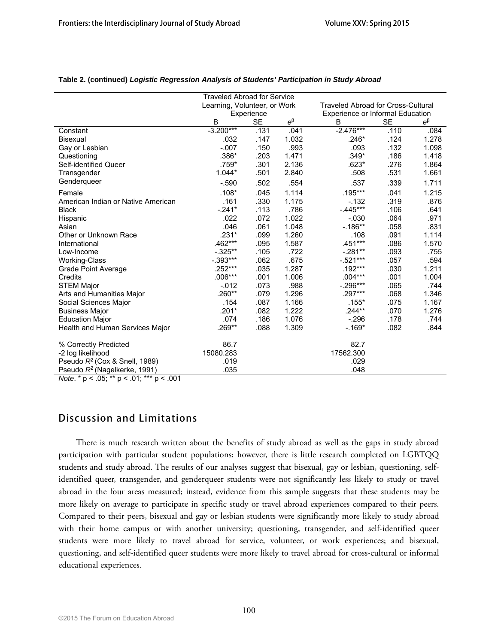|                                          | <b>Traveled Abroad for Service</b> |           |             |                                           |           |             |  |
|------------------------------------------|------------------------------------|-----------|-------------|-------------------------------------------|-----------|-------------|--|
|                                          | Learning, Volunteer, or Work       |           |             | <b>Traveled Abroad for Cross-Cultural</b> |           |             |  |
|                                          | Experience                         |           |             | <b>Experience or Informal Education</b>   |           |             |  |
|                                          | B                                  | <b>SE</b> | $e^{\beta}$ | B                                         | <b>SE</b> | $e^{\beta}$ |  |
| Constant                                 | $-3.200***$                        | .131      | .041        | $-2.476***$                               | .110      | .084        |  |
| <b>Bisexual</b>                          | .032                               | .147      | 1.032       | .246*                                     | .124      | 1.278       |  |
| Gay or Lesbian                           | $-.007$                            | .150      | .993        | .093                                      | .132      | 1.098       |  |
| Questioning                              | .386*                              | .203      | 1.471       | $.349*$                                   | .186      | 1.418       |  |
| Self-identified Queer                    | .759*                              | .301      | 2.136       | $.623*$                                   | .276      | 1.864       |  |
| Transgender                              | $1.044*$                           | .501      | 2.840       | .508                                      | .531      | 1.661       |  |
| Genderqueer                              | $-.590$                            | .502      | .554        | .537                                      | .339      | 1.711       |  |
| Female                                   | $.108*$                            | .045      | 1.114       | $.195***$                                 | .041      | 1.215       |  |
| American Indian or Native American       | .161                               | .330      | 1.175       | $-132$                                    | .319      | .876        |  |
| <b>Black</b>                             | $-.241*$                           | .113      | .786        | $-445***$                                 | .106      | .641        |  |
| Hispanic                                 | .022                               | .072      | 1.022       | $-.030$                                   | .064      | .971        |  |
| Asian                                    | .046                               | .061      | 1.048       | $-186**$                                  | .058      | .831        |  |
| Other or Unknown Race                    | $.231*$                            | .099      | 1.260       | .108                                      | .091      | 1.114       |  |
| International                            | .462***                            | .095      | 1.587       | .451***                                   | .086      | 1.570       |  |
| Low-Income                               | $-.325**$                          | .105      | .722        | $-.281**$                                 | .093      | .755        |  |
| Working-Class                            | $-.393***$                         | .062      | .675        | $-.521***$                                | .057      | .594        |  |
| Grade Point Average                      | .252***                            | .035      | 1.287       | .192***                                   | .030      | 1.211       |  |
| Credits                                  | $.006***$                          | .001      | 1.006       | $.004***$                                 | .001      | 1.004       |  |
| <b>STEM Major</b>                        | $-.012$                            | .073      | .988        | $-.296***$                                | .065      | .744        |  |
| Arts and Humanities Major                | .260**                             | .079      | 1.296       | .297***                                   | .068      | 1.346       |  |
| Social Sciences Major                    | .154                               | .087      | 1.166       | $.155*$                                   | .075      | 1.167       |  |
| <b>Business Major</b>                    | $.201*$                            | .082      | 1.222       | $.244**$                                  | .070      | 1.276       |  |
| <b>Education Major</b>                   | .074                               | .186      | 1.076       | $-296$                                    | .178      | .744        |  |
| Health and Human Services Major          | .269**                             | .088      | 1.309       | $-169*$                                   | .082      | .844        |  |
| % Correctly Predicted                    | 86.7                               |           |             | 82.7                                      |           |             |  |
| -2 log likelihood                        | 15080.283                          |           |             | 17562.300                                 |           |             |  |
| Pseudo $R^2$ (Cox & Snell, 1989)         | .019                               |           |             | .029                                      |           |             |  |
| Pseudo R <sup>2</sup> (Nagelkerke, 1991) | .035                               |           |             | .048                                      |           |             |  |

#### **Table 2. (continued)** *Logistic Regression Analysis of Students' Participation in Study Abroad*

*Note*. \* p < .05; \*\* p < .01; \*\*\* p < .001

## **Discussion and Limitations**

There is much research written about the benefits of study abroad as well as the gaps in study abroad participation with particular student populations; however, there is little research completed on LGBTQQ students and study abroad. The results of our analyses suggest that bisexual, gay or lesbian, questioning, selfidentified queer, transgender, and genderqueer students were not significantly less likely to study or travel abroad in the four areas measured; instead, evidence from this sample suggests that these students may be more likely on average to participate in specific study or travel abroad experiences compared to their peers. Compared to their peers, bisexual and gay or lesbian students were significantly more likely to study abroad with their home campus or with another university; questioning, transgender, and self-identified queer students were more likely to travel abroad for service, volunteer, or work experiences; and bisexual, questioning, and self-identified queer students were more likely to travel abroad for cross-cultural or informal educational experiences.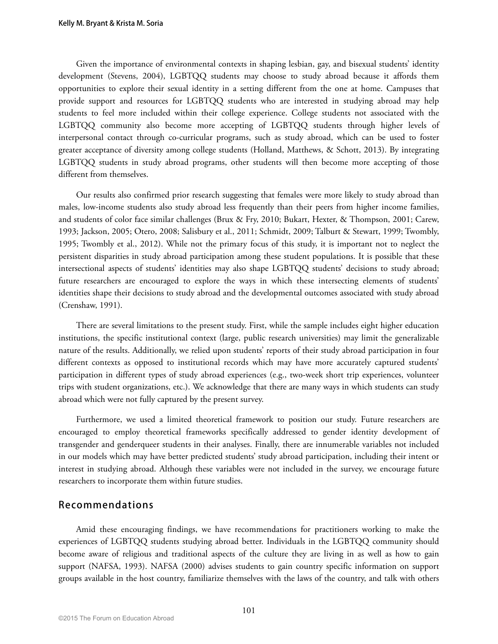Given the importance of environmental contexts in shaping lesbian, gay, and bisexual students' identity development (Stevens, 2004), LGBTQQ students may choose to study abroad because it affords them opportunities to explore their sexual identity in a setting different from the one at home. Campuses that provide support and resources for LGBTQQ students who are interested in studying abroad may help students to feel more included within their college experience. College students not associated with the LGBTQQ community also become more accepting of LGBTQQ students through higher levels of interpersonal contact through co-curricular programs, such as study abroad, which can be used to foster greater acceptance of diversity among college students (Holland, Matthews, & Schott, 2013). By integrating LGBTQQ students in study abroad programs, other students will then become more accepting of those different from themselves.

Our results also confirmed prior research suggesting that females were more likely to study abroad than males, low-income students also study abroad less frequently than their peers from higher income families, and students of color face similar challenges (Brux & Fry, 2010; Bukart, Hexter, & Thompson, 2001; Carew, 1993; Jackson, 2005; Otero, 2008; Salisbury et al., 2011; Schmidt, 2009; Talburt & Stewart, 1999; Twombly, 1995; Twombly et al., 2012). While not the primary focus of this study, it is important not to neglect the persistent disparities in study abroad participation among these student populations. It is possible that these intersectional aspects of students' identities may also shape LGBTQQ students' decisions to study abroad; future researchers are encouraged to explore the ways in which these intersecting elements of students' identities shape their decisions to study abroad and the developmental outcomes associated with study abroad (Crenshaw, 1991).

There are several limitations to the present study. First, while the sample includes eight higher education institutions, the specific institutional context (large, public research universities) may limit the generalizable nature of the results. Additionally, we relied upon students' reports of their study abroad participation in four different contexts as opposed to institutional records which may have more accurately captured students' participation in different types of study abroad experiences (e.g., two-week short trip experiences, volunteer trips with student organizations, etc.). We acknowledge that there are many ways in which students can study abroad which were not fully captured by the present survey.

Furthermore, we used a limited theoretical framework to position our study. Future researchers are encouraged to employ theoretical frameworks specifically addressed to gender identity development of transgender and genderqueer students in their analyses. Finally, there are innumerable variables not included in our models which may have better predicted students' study abroad participation, including their intent or interest in studying abroad. Although these variables were not included in the survey, we encourage future researchers to incorporate them within future studies.

### **Recommendations**

Amid these encouraging findings, we have recommendations for practitioners working to make the experiences of LGBTQQ students studying abroad better. Individuals in the LGBTQQ community should become aware of religious and traditional aspects of the culture they are living in as well as how to gain support (NAFSA, 1993). NAFSA (2000) advises students to gain country specific information on support groups available in the host country, familiarize themselves with the laws of the country, and talk with others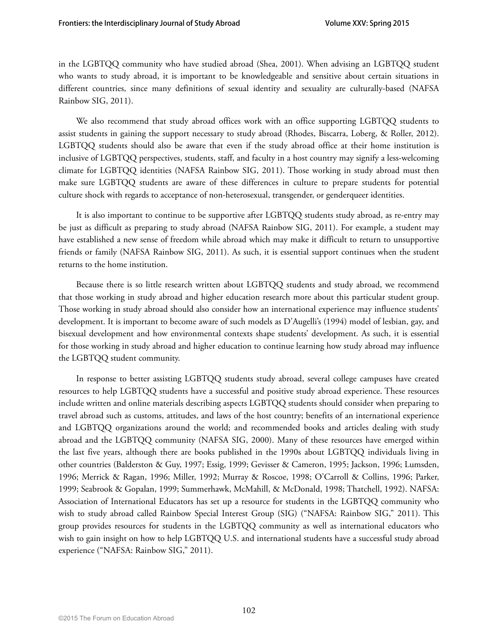in the LGBTQQ community who have studied abroad (Shea, 2001). When advising an LGBTQQ student who wants to study abroad, it is important to be knowledgeable and sensitive about certain situations in different countries, since many definitions of sexual identity and sexuality are culturally-based (NAFSA Rainbow SIG, 2011).

We also recommend that study abroad offices work with an office supporting LGBTQQ students to assist students in gaining the support necessary to study abroad (Rhodes, Biscarra, Loberg, & Roller, 2012). LGBTQQ students should also be aware that even if the study abroad office at their home institution is inclusive of LGBTQQ perspectives, students, staff, and faculty in a host country may signify a less-welcoming climate for LGBTQQ identities (NAFSA Rainbow SIG, 2011). Those working in study abroad must then make sure LGBTQQ students are aware of these differences in culture to prepare students for potential culture shock with regards to acceptance of non-heterosexual, transgender, or genderqueer identities.

It is also important to continue to be supportive after LGBTQQ students study abroad, as re-entry may be just as difficult as preparing to study abroad (NAFSA Rainbow SIG, 2011). For example, a student may have established a new sense of freedom while abroad which may make it difficult to return to unsupportive friends or family (NAFSA Rainbow SIG, 2011). As such, it is essential support continues when the student returns to the home institution.

Because there is so little research written about LGBTQQ students and study abroad, we recommend that those working in study abroad and higher education research more about this particular student group. Those working in study abroad should also consider how an international experience may influence students' development. It is important to become aware of such models as D'Augelli's (1994) model of lesbian, gay, and bisexual development and how environmental contexts shape students' development. As such, it is essential for those working in study abroad and higher education to continue learning how study abroad may influence the LGBTQQ student community.

In response to better assisting LGBTQQ students study abroad, several college campuses have created resources to help LGBTQQ students have a successful and positive study abroad experience. These resources include written and online materials describing aspects LGBTQQ students should consider when preparing to travel abroad such as customs, attitudes, and laws of the host country; benefits of an international experience and LGBTQQ organizations around the world; and recommended books and articles dealing with study abroad and the LGBTQQ community (NAFSA SIG, 2000). Many of these resources have emerged within the last five years, although there are books published in the 1990s about LGBTQQ individuals living in other countries (Balderston & Guy, 1997; Essig, 1999; Gevisser & Cameron, 1995; Jackson, 1996; Lumsden, 1996; Merrick & Ragan, 1996; Miller, 1992; Murray & Roscoe, 1998; O'Carroll & Collins, 1996; Parker, 1999; Seabrook & Gopalan, 1999; Summerhawk, McMahill, & McDonald, 1998; Thatchell, 1992). NAFSA: Association of International Educators has set up a resource for students in the LGBTQQ community who wish to study abroad called Rainbow Special Interest Group (SIG) ("NAFSA: Rainbow SIG," 2011). This group provides resources for students in the LGBTQQ community as well as international educators who wish to gain insight on how to help LGBTQQ U.S. and international students have a successful study abroad experience ("NAFSA: Rainbow SIG," 2011).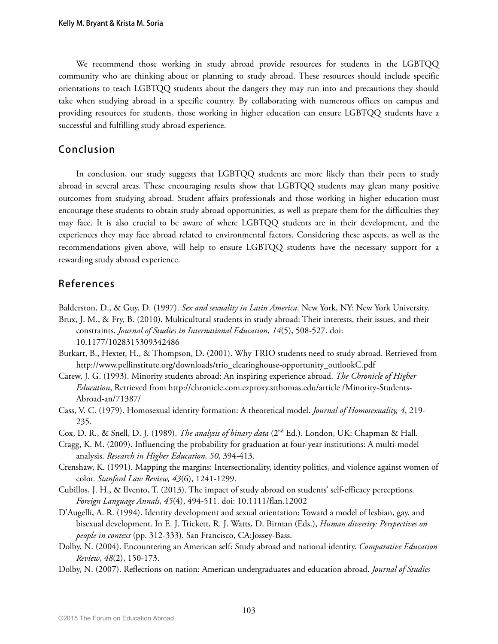We recommend those working in study abroad provide resources for students in the LGBTQQ community who are thinking about or planning to study abroad. These resources should include specific orientations to teach LGBTQQ students about the dangers they may run into and precautions they should take when studying abroad in a specific country. By collaborating with numerous offices on campus and providing resources for students, those working in higher education can ensure LGBTQQ students have a successful and fulfilling study abroad experience.

# **Conclusion**

In conclusion, our study suggests that LGBTQQ students are more likely than their peers to study abroad in several areas. These encouraging results show that LGBTQQ students may glean many positive outcomes from studying abroad. Student affairs professionals and those working in higher education must encourage these students to obtain study abroad opportunities, as well as prepare them for the difficulties they may face. It is also crucial to be aware of where LGBTQQ students are in their development, and the experiences they may face abroad related to environmental factors. Considering these aspects, as well as the recommendations given above, will help to ensure LGBTQQ students have the necessary support for a rewarding study abroad experience.

# **References**

Balderston, D., & Guy, D. (1997). *Sex and sexuality in Latin America*. New York, NY: New York University. Brux, J. M., & Fry, B. (2010). Multicultural students in study abroad: Their interests, their issues, and their constraints. *Journal of Studies in International Education*, *14*(5), 508-527. doi:

10.1177/1028315309342486

- Burkart, B., Hexter, H., & Thompson, D. (2001). Why TRIO students need to study abroad. Retrieved from http://www.pellinstitute.org/downloads/trio\_clearinghouse-opportunity\_outlookC.pdf
- Carew, J. G. (1993). Minority students abroad: An inspiring experience abroad. *The Chronicle of Higher Education*, Retrieved from http://chronicle.com.ezproxy.stthomas.edu/article /Minority-Students-Abroad-an/71387/
- Cass, V. C. (1979). Homosexual identity formation: A theoretical model. *Journal of Homosexuality, 4*, 219- 235.

Cox, D. R., & Snell, D. J. (1989). *The analysis of binary data* (2nd Ed.). London, UK: Chapman & Hall.

- Cragg, K. M. (2009). Influencing the probability for graduation at four-year institutions: A multi-model analysis. *Research in Higher Education, 50*, 394-413.
- Crenshaw, K. (1991). Mapping the margins: Intersectionality, identity politics, and violence against women of color. *Stanford Law Review, 43*(6), 1241-1299.
- Cubillos, J. H., & Ilvento, T. (2013). The impact of study abroad on students' self-efficacy perceptions. *Foreign Language Annals*, *45*(4), 494-511. doi: 10.1111/flan.12002
- D'Augelli, A. R. (1994). Identity development and sexual orientation: Toward a model of lesbian, gay, and bisexual development. In E. J. Trickett, R. J. Watts, D. Birman (Eds.), *Human diversity: Perspectives on people in context* (pp. 312-333). San Francisco, CA:Jossey-Bass.
- Dolby, N. (2004). Encountering an American self: Study abroad and national identity. *Comparative Education Review*, *48*(2), 150-173.
- Dolby, N. (2007). Reflections on nation: American undergraduates and education abroad. *Journal of Studies*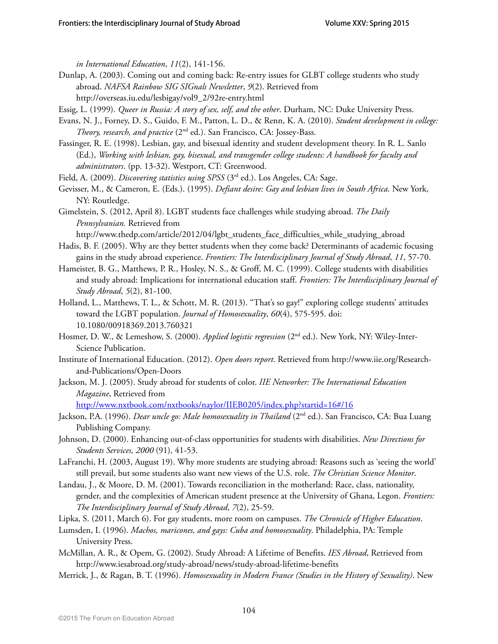*in International Education*, *11*(2), 141-156.

- Dunlap, A. (2003). Coming out and coming back: Re-entry issues for GLBT college students who study abroad. *NAFSA Rainbow SIG SIGnals Newsletter*, *9*(2). Retrieved from http://overseas.iu.edu/lesbigay/vol9\_2/92re-entry.html
- Essig, L. (1999). *Queer in Russia: A story of sex, self, and the other*. Durham, NC: Duke University Press.
- Evans, N. J., Forney, D. S., Guido, F. M., Patton, L. D., & Renn, K. A. (2010). *Student development in college: Theory, research, and practice* (2<sup>nd</sup> ed.). San Francisco, CA: Jossey-Bass.
- Fassinger, R. E. (1998). Lesbian, gay, and bisexual identity and student development theory. In R. L. Sanlo (Ed.), *Working with lesbian, gay, bisexual, and transgender college students: A handbook for faculty and administrators*. (pp. 13-32). Westport, CT: Greenwood.
- Field, A. (2009). *Discovering statistics using SPSS* (3<sup>rd</sup> ed.). Los Angeles, CA: Sage.
- Gevisser, M., & Cameron, E. (Eds.). (1995). *Defiant desire: Gay and lesbian lives in South Africa*. New York, NY: Routledge.
- Gimelstein, S. (2012, April 8). LGBT students face challenges while studying abroad. *The Daily Pennsylvanian.* Retrieved from
	- http://www.thedp.com/article/2012/04/lgbt\_students\_face\_difficulties\_while\_studying\_abroad
- Hadis, B. F. (2005). Why are they better students when they come back? Determinants of academic focusing gains in the study abroad experience. *Frontiers: The Interdisciplinary Journal of Study Abroad*, *11*, 57-70.
- Hameister, B. G., Matthews, P. R., Hosley, N. S., & Groff, M. C. (1999). College students with disabilities and study abroad: Implications for international education staff. *Frontiers: The Interdisciplinary Journal of Study Abroad*, *5*(2), 81-100.
- Holland, L., Matthews, T. L., & Schott, M. R. (2013). "That's so gay!" exploring college students' attitudes toward the LGBT population. *Journal of Homosexuality*, *60*(4), 575-595. doi: 10.1080/00918369.2013.760321
- Hosmer, D. W., & Lemeshow, S. (2000). *Applied logistic regression* (2nd ed.). New York, NY: Wiley-Inter-Science Publication.
- Institute of International Education. (2012). *Open doors report*. Retrieved from http://www.iie.org/Researchand-Publications/Open-Doors
- Jackson, M. J. (2005). Study abroad for students of color. *IIE Networker: The International Education Magazine*, Retrieved from

http://www.nxtbook.com/nxtbooks/naylor/IIEB0205/index.php?startid=16#/16

- Jackson, P.A. (1996). *Dear uncle go: Male homosexuality in Thailand* (2<sup>nd</sup> ed.). San Francisco, CA: Bua Luang Publishing Company.
- Johnson, D. (2000). Enhancing out-of-class opportunities for students with disabilities. *New Directions for Students Services, 2000* (91)*,* 41-53.
- LaFranchi, H. (2003, August 19). Why more students are studying abroad: Reasons such as 'seeing the world' still prevail, but some students also want new views of the U.S. role. *The Christian Science Monitor*.
- Landau, J., & Moore, D. M. (2001). Towards reconciliation in the motherland: Race, class, nationality, gender, and the complexities of American student presence at the University of Ghana, Legon. *Frontiers: The Interdisciplinary Journal of Study Abroad*, *7*(2), 25-59.
- Lipka, S. (2011, March 6). For gay students, more room on campuses. *The Chronicle of Higher Education*.
- Lumsden, I. (1996). *Machos, maricones, and gays: Cuba and homosexuality*. Philadelphia, PA: Temple University Press.
- McMillan, A. R., & Opem, G. (2002). Study Abroad: A Lifetime of Benefits. *IES Abroad*, Retrieved from http://www.iesabroad.org/study-abroad/news/study-abroad-lifetime-benefits
- Merrick, J., & Ragan, B. T. (1996). *Homosexuality in Modern France (Studies in the History of Sexuality)*. New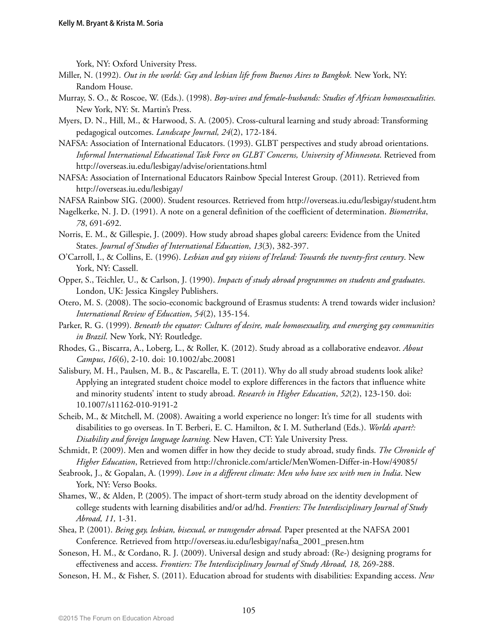York, NY: Oxford University Press.

- Miller, N. (1992). *Out in the world: Gay and lesbian life from Buenos Aires to Bangkok.* New York, NY: Random House.
- Murray, S. O., & Roscoe, W. (Eds.). (1998). *Boy-wives and female-husbands: Studies of African homosexualities.*  New York, NY: St. Martin's Press.
- Myers, D. N., Hill, M., & Harwood, S. A. (2005). Cross-cultural learning and study abroad: Transforming pedagogical outcomes. *Landscape Journal, 24*(2), 172-184.
- NAFSA: Association of International Educators. (1993). GLBT perspectives and study abroad orientations. *Informal International Educational Task Force on GLBT Concerns, University of Minnesota*. Retrieved from http://overseas.iu.edu/lesbigay/advise/orientations.html
- NAFSA: Association of International Educators Rainbow Special Interest Group. (2011). Retrieved from http://overseas.iu.edu/lesbigay/
- NAFSA Rainbow SIG. (2000). Student resources. Retrieved from http://overseas.iu.edu/lesbigay/student.htm
- Nagelkerke, N. J. D. (1991). A note on a general definition of the coefficient of determination. *Biometrika*, *78*, 691-692.
- Norris, E. M., & Gillespie, J. (2009). How study abroad shapes global careers: Evidence from the United States. *Journal of Studies of International Education*, *13*(3), 382-397.
- O'Carroll, I., & Collins, E. (1996). *Lesbian and gay visions of Ireland: Towards the twenty-first century*. New York, NY: Cassell.
- Opper, S., Teichler, U., & Carlson, J. (1990). *Impacts of study abroad programmes on students and graduates*. London, UK: Jessica Kingsley Publishers.
- Otero, M. S. (2008). The socio-economic background of Erasmus students: A trend towards wider inclusion? *International Review of Education*, *54*(2), 135-154.
- Parker, R. G. (1999). *Beneath the equator: Cultures of desire, male homosexuality, and emerging gay communities in Brazil*. New York, NY: Routledge.
- Rhodes, G., Biscarra, A., Loberg, L., & Roller, K. (2012). Study abroad as a collaborative endeavor. *About Campus*, *16*(6), 2-10. doi: 10.1002/abc.20081
- Salisbury, M. H., Paulsen, M. B., & Pascarella, E. T. (2011). Why do all study abroad students look alike? Applying an integrated student choice model to explore differences in the factors that influence white and minority students' intent to study abroad. *Research in Higher Education*, *52*(2), 123-150. doi: 10.1007/s11162-010-9191-2
- Scheib, M., & Mitchell, M. (2008). Awaiting a world experience no longer: It's time for all students with disabilities to go overseas. In T. Berberi, E. C. Hamilton, & I. M. Sutherland (Eds.). *Worlds apart?: Disability and foreign language learning*. New Haven, CT: Yale University Press.
- Schmidt, P. (2009). Men and women differ in how they decide to study abroad, study finds. *The Chronicle of Higher Education*, Retrieved from http://chronicle.com/article/MenWomen-Differ-in-How/49085/
- Seabrook, J., & Gopalan, A. (1999). *Love in a different climate: Men who have sex with men in India*. New York, NY: Verso Books.
- Shames, W., & Alden, P. (2005). The impact of short-term study abroad on the identity development of college students with learning disabilities and/or ad/hd. *Frontiers: The Interdisciplinary Journal of Study Abroad, 11,* 1-31.
- Shea, P. (2001). *Being gay, lesbian, bisexual, or transgender abroad.* Paper presented at the NAFSA 2001 Conference*.* Retrieved from http://overseas.iu.edu/lesbigay/nafsa\_2001\_presen.htm
- Soneson, H. M., & Cordano, R. J. (2009). Universal design and study abroad: (Re-) designing programs for effectiveness and access. *Frontiers: The Interdisciplinary Journal of Study Abroad, 18,* 269-288.
- Soneson, H. M., & Fisher, S. (2011). Education abroad for students with disabilities: Expanding access. *New*